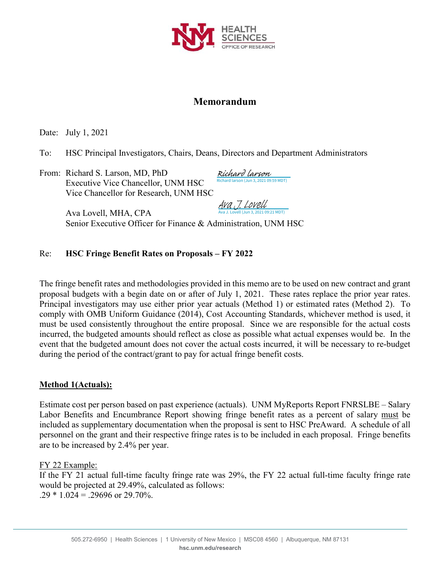

### **Memorandum**

Date: July 1, 2021

To: HSC Principal Investigators, Chairs, Deans, Directors and Department Administrators

From: Richard S. Larson, MD, PhD Executive Vice Chancellor, UNM HSC Vice Chancellor for Research, UNM HSC

Richard larson (Jun 3, 2021 09:59 MDT) [Richard larson](https://secure.na2.echosign.com/verifier?tx=CBJCHBCAABAAnZubU6GSn0atlqgQ6-lq-XnGRPToPoXb)

Ava J. Lovell (Jun 3, 2021 09:21 MDT) [Ava J. Lovell](https://secure.na2.echosign.com/verifier?tx=CBJCHBCAABAAnZubU6GSn0atlqgQ6-lq-XnGRPToPoXb)

Ava Lovell, MHA, CPA Senior Executive Officer for Finance & Administration, UNM HSC

#### Re: **HSC Fringe Benefit Rates on Proposals – FY 2022**

The fringe benefit rates and methodologies provided in this memo are to be used on new contract and grant proposal budgets with a begin date on or after of July 1, 2021. These rates replace the prior year rates. Principal investigators may use either prior year actuals (Method 1) or estimated rates (Method 2). To comply with OMB Uniform Guidance (2014), Cost Accounting Standards, whichever method is used, it must be used consistently throughout the entire proposal. Since we are responsible for the actual costs incurred, the budgeted amounts should reflect as close as possible what actual expenses would be. In the event that the budgeted amount does not cover the actual costs incurred, it will be necessary to re-budget during the period of the contract/grant to pay for actual fringe benefit costs.

#### **Method 1(Actuals):**

Estimate cost per person based on past experience (actuals). UNM MyReports Report FNRSLBE – Salary Labor Benefits and Encumbrance Report showing fringe benefit rates as a percent of salary must be included as supplementary documentation when the proposal is sent to HSC PreAward. A schedule of all personnel on the grant and their respective fringe rates is to be included in each proposal. Fringe benefits are to be increased by 2.4% per year.

FY 22 Example:

If the FY 21 actual full-time faculty fringe rate was 29%, the FY 22 actual full-time faculty fringe rate would be projected at 29.49%, calculated as follows:  $.29 * 1.024 = .29696$  or 29.70%.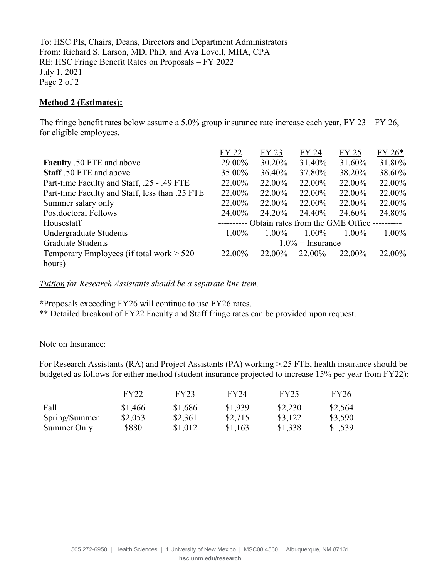To: HSC PIs, Chairs, Deans, Directors and Department Administrators From: Richard S. Larson, MD, PhD, and Ava Lovell, MHA, CPA RE: HSC Fringe Benefit Rates on Proposals – FY 2022 July 1, 2021 Page 2 of 2

#### **Method 2 (Estimates):**

The fringe benefit rates below assume a 5.0% group insurance rate increase each year, FY 23 – FY 26, for eligible employees.

|                                                | FY 22                                                         | FY 23    | FY 24    | FY 25    | FY 26*   |
|------------------------------------------------|---------------------------------------------------------------|----------|----------|----------|----------|
| <b>Faculty</b> .50 FTE and above               | 29.00%                                                        | 30.20%   | 31.40%   | 31.60%   | 31.80%   |
| Staff .50 FTE and above                        | 35.00%                                                        | 36.40%   | 37.80%   | 38.20%   | 38.60%   |
| Part-time Faculty and Staff, .25 - .49 FTE     | 22.00%                                                        | 22.00%   | 22.00%   | 22.00%   | 22.00%   |
| Part-time Faculty and Staff, less than .25 FTE | 22.00%                                                        | 22.00%   | 22.00%   | 22.00%   | 22.00%   |
| Summer salary only                             | 22.00%                                                        | 22.00%   | 22.00%   | 22.00%   | 22.00%   |
| <b>Postdoctoral Fellows</b>                    | 24.00%                                                        | 24.20%   | 24.40%   | 24.60%   | 24.80%   |
| Housestaff                                     | ---------- Obtain rates from the GME Office ----------        |          |          |          |          |
| Undergraduate Students                         | $1.00\%$                                                      | $1.00\%$ | $1.00\%$ | $1.00\%$ | $1.00\%$ |
| <b>Graduate Students</b>                       | -------------------- $1.0\%$ + Insurance -------------------- |          |          |          |          |
| Temporary Employees (if total work $> 520$     | 22.00%                                                        | 22.00%   | 22.00%   | 22.00%   | 22.00%   |
| hours)                                         |                                                               |          |          |          |          |

*Tuition for Research Assistants should be a separate line item.*

**\***Proposals exceeding FY26 will continue to use FY26 rates.

\*\* Detailed breakout of FY22 Faculty and Staff fringe rates can be provided upon request.

Note on Insurance:

For Research Assistants (RA) and Project Assistants (PA) working >.25 FTE, health insurance should be budgeted as follows for either method (student insurance projected to increase 15% per year from FY22):

|               | FY22    | FY23    | FY24    | FY25    | FY26    |
|---------------|---------|---------|---------|---------|---------|
| Fall          | \$1,466 | \$1,686 | \$1,939 | \$2,230 | \$2,564 |
| Spring/Summer | \$2,053 | \$2,361 | \$2,715 | \$3,122 | \$3,590 |
| Summer Only   | \$880   | \$1,012 | \$1,163 | \$1,338 | \$1,539 |